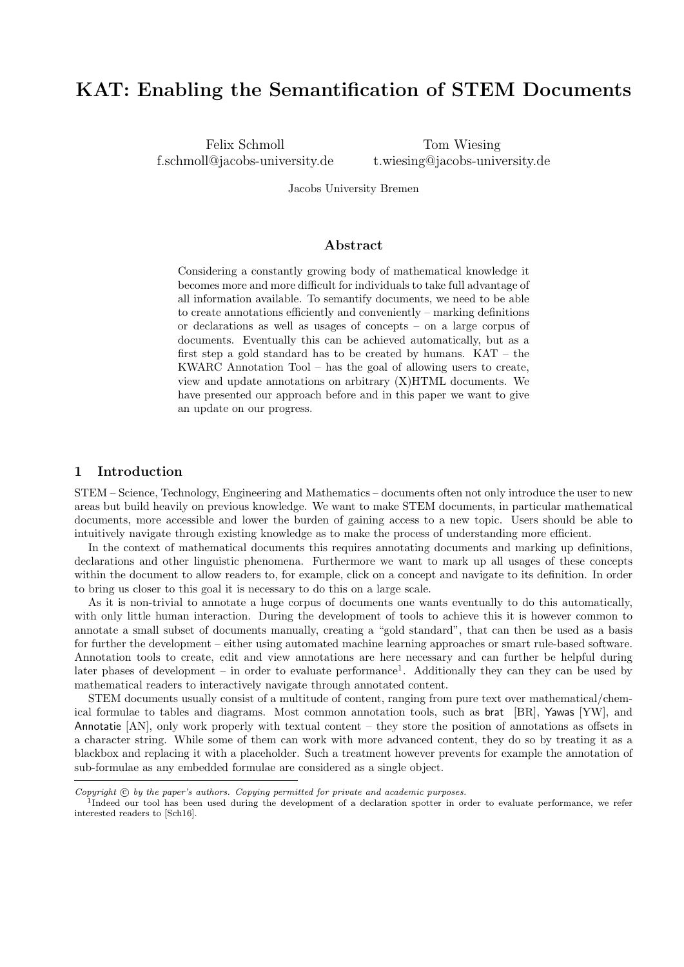# KAT: Enabling the Semantification of STEM Documents

Felix Schmoll f.schmoll@jacobs-university.de

Tom Wiesing t.wiesing@jacobs-university.de

Jacobs University Bremen

# Abstract

Considering a constantly growing body of mathematical knowledge it becomes more and more difficult for individuals to take full advantage of all information available. To semantify documents, we need to be able to create annotations efficiently and conveniently – marking definitions or declarations as well as usages of concepts – on a large corpus of documents. Eventually this can be achieved automatically, but as a first step a gold standard has to be created by humans. KAT – the KWARC Annotation Tool – has the goal of allowing users to create, view and update annotations on arbitrary (X)HTML documents. We have presented our approach before and in this paper we want to give an update on our progress.

# 1 Introduction

STEM – Science, Technology, Engineering and Mathematics – documents often not only introduce the user to new areas but build heavily on previous knowledge. We want to make STEM documents, in particular mathematical documents, more accessible and lower the burden of gaining access to a new topic. Users should be able to intuitively navigate through existing knowledge as to make the process of understanding more efficient.

In the context of mathematical documents this requires annotating documents and marking up definitions, declarations and other linguistic phenomena. Furthermore we want to mark up all usages of these concepts within the document to allow readers to, for example, click on a concept and navigate to its definition. In order to bring us closer to this goal it is necessary to do this on a large scale.

As it is non-trivial to annotate a huge corpus of documents one wants eventually to do this automatically, with only little human interaction. During the development of tools to achieve this it is however common to annotate a small subset of documents manually, creating a "gold standard", that can then be used as a basis for further the development – either using automated machine learning approaches or smart rule-based software. Annotation tools to create, edit and view annotations are here necessary and can further be helpful during later phases of development – in order to evaluate performance<sup>1</sup>. Additionally they can they can be used by mathematical readers to interactively navigate through annotated content.

STEM documents usually consist of a multitude of content, ranging from pure text over mathematical/chemical formulae to tables and diagrams. Most common annotation tools, such as brat [BR], Yawas [YW], and Annotatie [AN], only work properly with textual content – they store the position of annotations as offsets in a character string. While some of them can work with more advanced content, they do so by treating it as a blackbox and replacing it with a placeholder. Such a treatment however prevents for example the annotation of sub-formulae as any embedded formulae are considered as a single object.

Copyright  $\odot$  by the paper's authors. Copying permitted for private and academic purposes.

<sup>&</sup>lt;sup>1</sup>Indeed our tool has been used during the development of a declaration spotter in order to evaluate performance, we refer interested readers to [Sch16].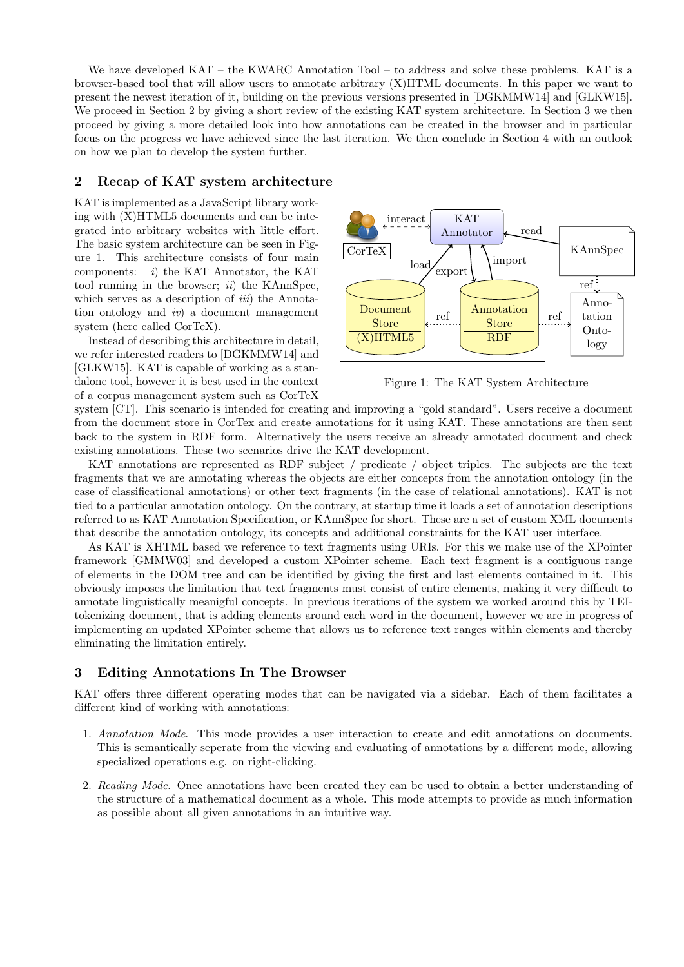We have developed KAT – the KWARC Annotation Tool – to address and solve these problems. KAT is a browser-based tool that will allow users to annotate arbitrary (X)HTML documents. In this paper we want to present the newest iteration of it, building on the previous versions presented in [DGKMMW14] and [GLKW15]. We proceed in Section 2 by giving a short review of the existing KAT system architecture. In Section 3 we then proceed by giving a more detailed look into how annotations can be created in the browser and in particular focus on the progress we have achieved since the last iteration. We then conclude in Section 4 with an outlook on how we plan to develop the system further.

# 2 Recap of KAT system architecture

KAT is implemented as a JavaScript library working with (X)HTML5 documents and can be integrated into arbitrary websites with little effort. The basic system architecture can be seen in Figure 1. This architecture consists of four main components:  $i)$  the KAT Annotator, the KAT tool running in the browser;  $ii)$  the KAnnSpec, which serves as a description of *iii*) the Annotation ontology and  $iv$  a document management system (here called CorTeX).

Instead of describing this architecture in detail, we refer interested readers to [DGKMMW14] and [GLKW15]. KAT is capable of working as a standalone tool, however it is best used in the context of a corpus management system such as CorTeX



Figure 1: The KAT System Architecture

system [CT]. This scenario is intended for creating and improving a "gold standard". Users receive a document from the document store in CorTex and create annotations for it using KAT. These annotations are then sent back to the system in RDF form. Alternatively the users receive an already annotated document and check existing annotations. These two scenarios drive the KAT development.

KAT annotations are represented as RDF subject / predicate / object triples. The subjects are the text fragments that we are annotating whereas the objects are either concepts from the annotation ontology (in the case of classificational annotations) or other text fragments (in the case of relational annotations). KAT is not tied to a particular annotation ontology. On the contrary, at startup time it loads a set of annotation descriptions referred to as KAT Annotation Specification, or KAnnSpec for short. These are a set of custom XML documents that describe the annotation ontology, its concepts and additional constraints for the KAT user interface.

As KAT is XHTML based we reference to text fragments using URIs. For this we make use of the XPointer framework [GMMW03] and developed a custom XPointer scheme. Each text fragment is a contiguous range of elements in the DOM tree and can be identified by giving the first and last elements contained in it. This obviously imposes the limitation that text fragments must consist of entire elements, making it very difficult to annotate linguistically meanigful concepts. In previous iterations of the system we worked around this by TEItokenizing document, that is adding elements around each word in the document, however we are in progress of implementing an updated XPointer scheme that allows us to reference text ranges within elements and thereby eliminating the limitation entirely.

# 3 Editing Annotations In The Browser

KAT offers three different operating modes that can be navigated via a sidebar. Each of them facilitates a different kind of working with annotations:

- 1. Annotation Mode. This mode provides a user interaction to create and edit annotations on documents. This is semantically seperate from the viewing and evaluating of annotations by a different mode, allowing specialized operations e.g. on right-clicking.
- 2. Reading Mode. Once annotations have been created they can be used to obtain a better understanding of the structure of a mathematical document as a whole. This mode attempts to provide as much information as possible about all given annotations in an intuitive way.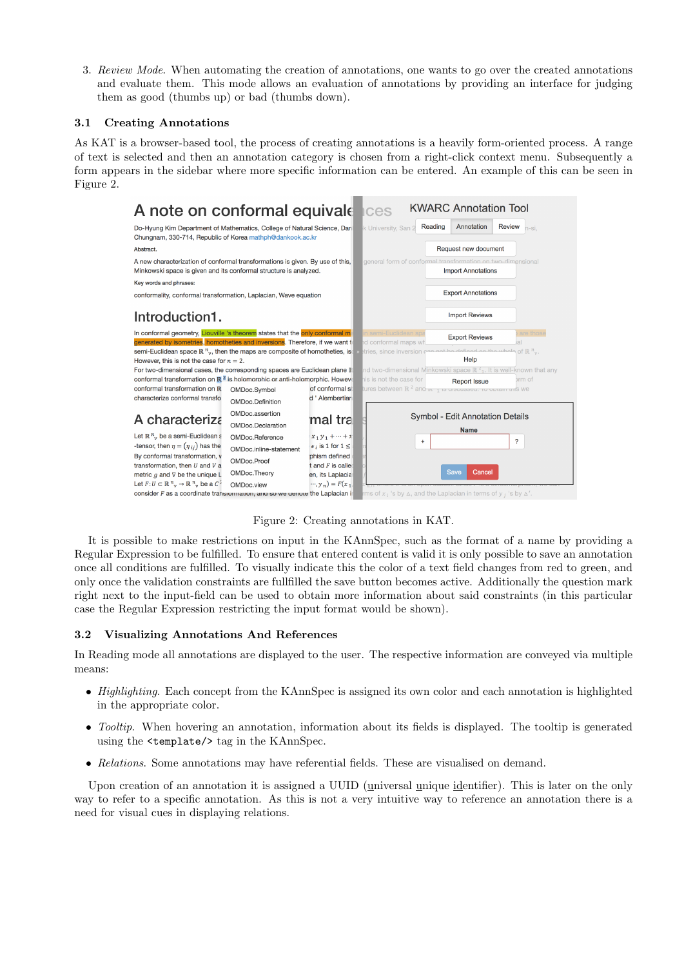3. Review Mode. When automating the creation of annotations, one wants to go over the created annotations and evaluate them. This mode allows an evaluation of annotations by providing an interface for judging them as good (thumbs up) or bad (thumbs down).

### 3.1 Creating Annotations

As KAT is a browser-based tool, the process of creating annotations is a heavily form-oriented process. A range of text is selected and then an annotation category is chosen from a right-click context menu. Subsequently a form appears in the sidebar where more specific information can be entered. An example of this can be seen in Figure 2.

| A note on conformal equivale                                                                                                                                  |                          |                                | <b>Ices</b>                                                                                       |                           | <b>KWARC Annotation Tool</b> |                                                                               |
|---------------------------------------------------------------------------------------------------------------------------------------------------------------|--------------------------|--------------------------------|---------------------------------------------------------------------------------------------------|---------------------------|------------------------------|-------------------------------------------------------------------------------|
| Do-Hyung Kim Department of Mathematics, College of Natural Science, Dar<br>Chungnam, 330-714, Republic of Korea mathph@dankook.ac.kr                          |                          |                                | k University, San 2                                                                               | Reading                   | Annotation                   | <b>Review</b><br>n-si.                                                        |
| Abstract.                                                                                                                                                     |                          |                                | Request new document                                                                              |                           |                              |                                                                               |
| A new characterization of conformal transformations is given. By use of this,<br>Minkowski space is given and its conformal structure is analyzed.            |                          |                                | general form of conformal transformation on two-dimensional<br><b>Import Annotations</b>          |                           |                              |                                                                               |
| Key words and phrases:                                                                                                                                        |                          |                                |                                                                                                   |                           |                              |                                                                               |
| conformality, conformal transformation, Laplacian, Wave equation                                                                                              |                          |                                |                                                                                                   | <b>Export Annotations</b> |                              |                                                                               |
| Introduction1.                                                                                                                                                |                          |                                | <b>Import Reviews</b>                                                                             |                           |                              |                                                                               |
| In conformal geometry, Liouville 's theorem states that the only conformal m<br>generated by isometries, homotheties and inversions. Therefore, if we want to |                          |                                | in semi-Euclidean sp<br>id conformal maps wh                                                      |                           | <b>Export Reviews</b>        | are those                                                                     |
| semi-Euclidean space $\mathbb{R}^{n}$ , then the maps are composite of homotheties, is<br>However, this is not the case for $n = 2$ .                         |                          |                                | stries, since inversion can not be defined on the whole of $\mathbb{R}^{\: n}_{\: n}$ .           |                           | Help                         |                                                                               |
| For two-dimensional cases, the corresponding spaces are Euclidean plane II                                                                                    |                          |                                |                                                                                                   |                           |                              | nd two-dimensional Minkowski space $\mathbb{R}^2$ . It is well-known that any |
| conformal transformation on $\mathbb{R}^2$ is holomorphic or anti-holomorphic. Howev                                                                          |                          |                                | his is not the case for                                                                           |                           | <b>Report Issue</b>          | brm of                                                                        |
| conformal transformation on R                                                                                                                                 | OMDoc.Symbol             | of conformal s                 | tures between $\mathbb{R}^2$ and $\frac{1}{\sqrt{1-\frac{1}{2}}}$ is urscussed. To obtain this we |                           |                              |                                                                               |
| characterize conformal transfo                                                                                                                                | OMDoc.Definition         | d ' Alembertiar                |                                                                                                   |                           |                              |                                                                               |
| A characteriza                                                                                                                                                | OMDoc.assertion          |                                | Symbol - Edit Annotation Details                                                                  |                           |                              |                                                                               |
|                                                                                                                                                               | <b>OMDoc.Declaration</b> | mal tra                        |                                                                                                   |                           |                              |                                                                               |
| Let $\mathbb{R}^n$ , be a semi-Euclidean s                                                                                                                    | OMDoc.Reference          | $x_1 y_1 + \cdots + x_n$       |                                                                                                   |                           | <b>Name</b>                  |                                                                               |
| -tensor, then $\eta = (\eta_{ij})$ has the                                                                                                                    | OMDoc.inline-statement   | $\epsilon_i$ is 1 for $1 \leq$ |                                                                                                   | $\ddot{}$                 |                              | ?                                                                             |
| By conformal transformation, v                                                                                                                                | OMDoc.Proof              | phism defined                  |                                                                                                   |                           |                              |                                                                               |
| transformation, then $U$ and $V$ a                                                                                                                            |                          | $t$ and $F$ is calle           |                                                                                                   |                           | Cancel<br><b>Save</b>        |                                                                               |
| metric $q$ and $\nabla$ be the unique L                                                                                                                       | OMDoc.Theory             | en, its Laplacia               |                                                                                                   |                           |                              |                                                                               |
| Let $F: U \subset \mathbb{R}^n$ , $\rightarrow \mathbb{R}^n$ , be a C <sup>2</sup>                                                                            | OMDoc.view               | $\cdots$ , $y_n$ ) = $F(x_1)$  | rms of $x_i$ 's by $\Delta$ , and the Laplacian in terms of $y_i$ 's by $\Delta'$ .               |                           |                              |                                                                               |
| consider $F$ as a coordinate transionization, and so we denote the Laplacian i                                                                                |                          |                                |                                                                                                   |                           |                              |                                                                               |

Figure 2: Creating annotations in KAT.

It is possible to make restrictions on input in the KAnnSpec, such as the format of a name by providing a Regular Expression to be fulfilled. To ensure that entered content is valid it is only possible to save an annotation once all conditions are fulfilled. To visually indicate this the color of a text field changes from red to green, and only once the validation constraints are fullfilled the save button becomes active. Additionally the question mark right next to the input-field can be used to obtain more information about said constraints (in this particular case the Regular Expression restricting the input format would be shown).

# 3.2 Visualizing Annotations And References

In Reading mode all annotations are displayed to the user. The respective information are conveyed via multiple means:

- Highlighting. Each concept from the KAnnSpec is assigned its own color and each annotation is highlighted in the appropriate color.
- Tooltip. When hovering an annotation, information about its fields is displayed. The tooltip is generated using the <template/> tag in the KAnnSpec.
- Relations. Some annotations may have referential fields. These are visualised on demand.

Upon creation of an annotation it is assigned a UUID (universal unique identifier). This is later on the only way to refer to a specific annotation. As this is not a very intuitive way to reference an annotation there is a need for visual cues in displaying relations.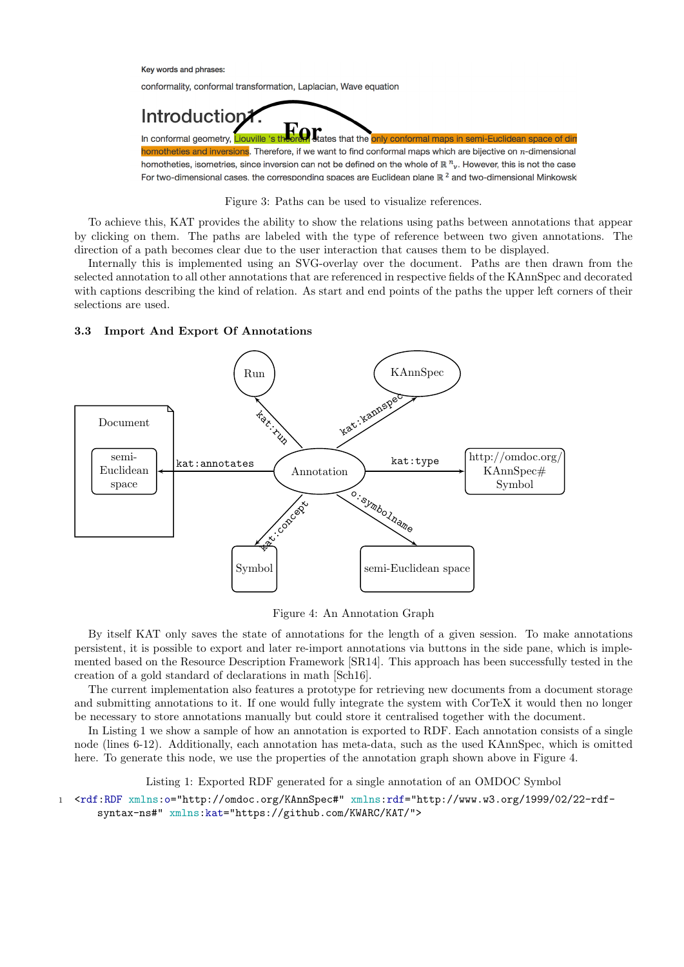#### Key words and phrases:

conformality, conformal transformation, Laplacian, Wave equation



Figure 3: Paths can be used to visualize references.

To achieve this, KAT provides the ability to show the relations using paths between annotations that appear by clicking on them. The paths are labeled with the type of reference between two given annotations. The direction of a path becomes clear due to the user interaction that causes them to be displayed.

Internally this is implemented using an SVG-overlay over the document. Paths are then drawn from the selected annotation to all other annotations that are referenced in respective fields of the KAnnSpec and decorated with captions describing the kind of relation. As start and end points of the paths the upper left corners of their selections are used.

### 3.3 Import And Export Of Annotations



Figure 4: An Annotation Graph

By itself KAT only saves the state of annotations for the length of a given session. To make annotations persistent, it is possible to export and later re-import annotations via buttons in the side pane, which is implemented based on the Resource Description Framework [SR14]. This approach has been successfully tested in the creation of a gold standard of declarations in math [Sch16].

The current implementation also features a prototype for retrieving new documents from a document storage and submitting annotations to it. If one would fully integrate the system with CorTeX it would then no longer be necessary to store annotations manually but could store it centralised together with the document.

In Listing 1 we show a sample of how an annotation is exported to RDF. Each annotation consists of a single node (lines 6-12). Additionally, each annotation has meta-data, such as the used KAnnSpec, which is omitted here. To generate this node, we use the properties of the annotation graph shown above in Figure 4.

Listing 1: Exported RDF generated for a single annotation of an OMDOC Symbol

<sup>1</sup> <rdf:RDF xmlns:o="http://omdoc.org/KAnnSpec#" xmlns:rdf="http://www.w3.org/1999/02/22-rdfsyntax-ns#" xmlns:kat="https://github.com/KWARC/KAT/">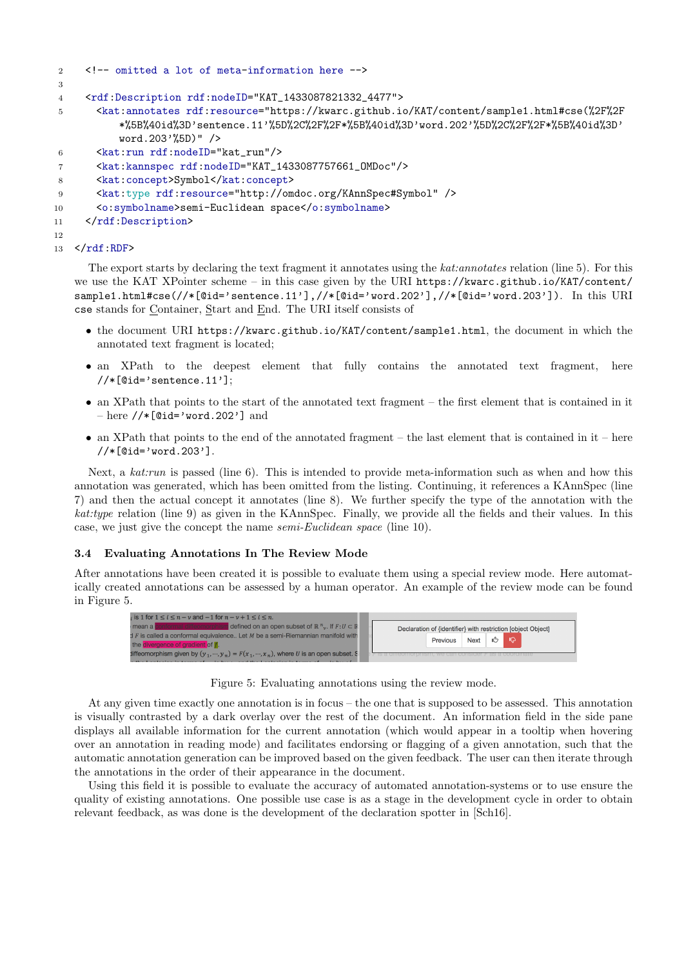```
2 <!-- omitted a lot of meta-information here -->
3
4 <rdf:Description rdf:nodeID="KAT_1433087821332_4477">
5 <kat:annotates rdf:resource="https://kwarc.github.io/KAT/content/sample1.html#cse(%2F%2F
          *%5B%40id%3D'sentence.11'%5D%2C%2F%2F*%5B%40id%3D'word.202'%5D%2C%2F%2F*%5B%40id%3D'
          word.203'%5D)" />
6 <kat:run rdf:nodeID="kat_run"/>
7 <kat:kannspec rdf:nodeID="KAT_1433087757661_OMDoc"/>
8 <kat:concept>Symbol</kat:concept>
9 <kat:type rdf:resource="http://omdoc.org/KAnnSpec#Symbol" />
10 <o:symbolname>semi-Euclidean space</o:symbolname>
11 </rdf:Description>
12
13 \quad \checkmarkrdf:RDF>
```
The export starts by declaring the text fragment it annotates using the kat:annotates relation (line 5). For this we use the KAT XPointer scheme – in this case given by the URI https://kwarc.github.io/KAT/content/ sample1.html#cse(//\*[@id='sentence.11'],//\*[@id='word.202'],//\*[@id='word.203']). In this URI cse stands for Container, Start and End. The URI itself consists of

- the document URI https://kwarc.github.io/KAT/content/sample1.html, the document in which the annotated text fragment is located;
- an XPath to the deepest element that fully contains the annotated text fragment, here  $//*[@id='sentence.11']$ ;
- an XPath that points to the start of the annotated text fragment the first element that is contained in it  $-$  here  $//*$ [@id='word.202'] and
- an XPath that points to the end of the annotated fragment the last element that is contained in it here //\*[@id='word.203'].

Next, a kat:run is passed (line 6). This is intended to provide meta-information such as when and how this annotation was generated, which has been omitted from the listing. Continuing, it references a KAnnSpec (line 7) and then the actual concept it annotates (line 8). We further specify the type of the annotation with the kat:type relation (line 9) as given in the KAnnSpec. Finally, we provide all the fields and their values. In this case, we just give the concept the name semi-Euclidean space (line 10).

### 3.4 Evaluating Annotations In The Review Mode

After annotations have been created it is possible to evaluate them using a special review mode. Here automatically created annotations can be assessed by a human operator. An example of the review mode can be found in Figure 5.



Figure 5: Evaluating annotations using the review mode.

At any given time exactly one annotation is in focus – the one that is supposed to be assessed. This annotation is visually contrasted by a dark overlay over the rest of the document. An information field in the side pane displays all available information for the current annotation (which would appear in a tooltip when hovering over an annotation in reading mode) and facilitates endorsing or flagging of a given annotation, such that the automatic annotation generation can be improved based on the given feedback. The user can then iterate through the annotations in the order of their appearance in the document.

Using this field it is possible to evaluate the accuracy of automated annotation-systems or to use ensure the quality of existing annotations. One possible use case is as a stage in the development cycle in order to obtain relevant feedback, as was done is the development of the declaration spotter in [Sch16].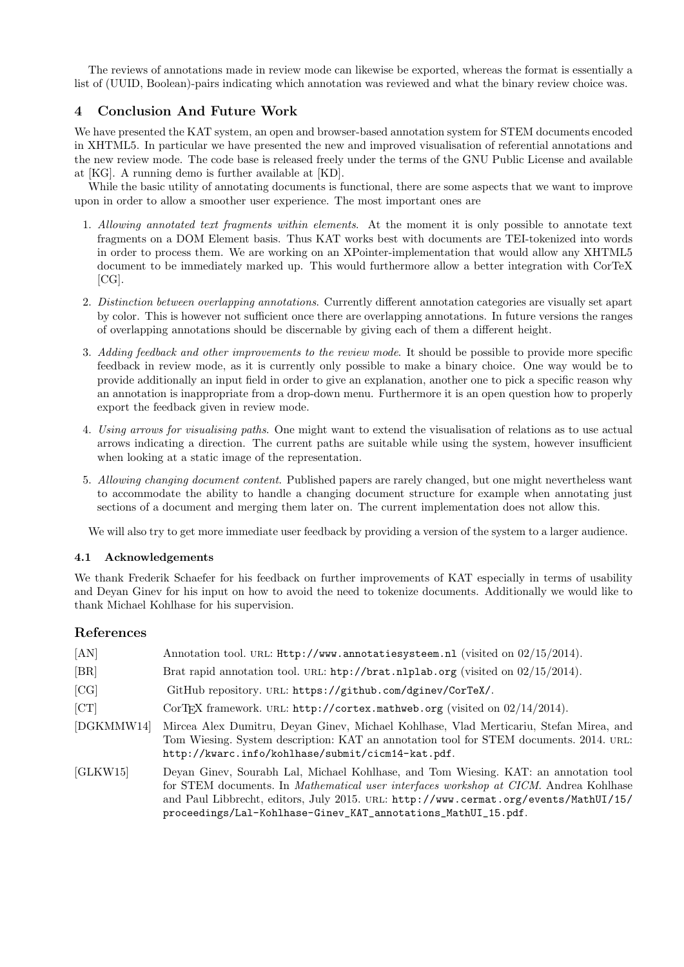The reviews of annotations made in review mode can likewise be exported, whereas the format is essentially a list of (UUID, Boolean)-pairs indicating which annotation was reviewed and what the binary review choice was.

# 4 Conclusion And Future Work

We have presented the KAT system, an open and browser-based annotation system for STEM documents encoded in XHTML5. In particular we have presented the new and improved visualisation of referential annotations and the new review mode. The code base is released freely under the terms of the GNU Public License and available at [KG]. A running demo is further available at [KD].

While the basic utility of annotating documents is functional, there are some aspects that we want to improve upon in order to allow a smoother user experience. The most important ones are

- 1. Allowing annotated text fragments within elements. At the moment it is only possible to annotate text fragments on a DOM Element basis. Thus KAT works best with documents are TEI-tokenized into words in order to process them. We are working on an XPointer-implementation that would allow any XHTML5 document to be immediately marked up. This would furthermore allow a better integration with CorTeX [CG].
- 2. Distinction between overlapping annotations. Currently different annotation categories are visually set apart by color. This is however not sufficient once there are overlapping annotations. In future versions the ranges of overlapping annotations should be discernable by giving each of them a different height.
- 3. Adding feedback and other improvements to the review mode. It should be possible to provide more specific feedback in review mode, as it is currently only possible to make a binary choice. One way would be to provide additionally an input field in order to give an explanation, another one to pick a specific reason why an annotation is inappropriate from a drop-down menu. Furthermore it is an open question how to properly export the feedback given in review mode.
- 4. Using arrows for visualising paths. One might want to extend the visualisation of relations as to use actual arrows indicating a direction. The current paths are suitable while using the system, however insufficient when looking at a static image of the representation.
- 5. Allowing changing document content. Published papers are rarely changed, but one might nevertheless want to accommodate the ability to handle a changing document structure for example when annotating just sections of a document and merging them later on. The current implementation does not allow this.

We will also try to get more immediate user feedback by providing a version of the system to a larger audience.

# 4.1 Acknowledgements

We thank Frederik Schaefer for his feedback on further improvements of KAT especially in terms of usability and Deyan Ginev for his input on how to avoid the need to tokenize documents. Additionally we would like to thank Michael Kohlhase for his supervision.

# References

| [AN]       | Annotation tool. URL: Http://www.annotatiesysteem.nl (visited on 02/15/2014).                                                                                                                                                                                                                                                          |
|------------|----------------------------------------------------------------------------------------------------------------------------------------------------------------------------------------------------------------------------------------------------------------------------------------------------------------------------------------|
| [BR]       | Brat rapid annotation tool. URL: $\frac{h}{h}$ http://brat.nlplab.org (visited on 02/15/2014).                                                                                                                                                                                                                                         |
| [CG]       | GitHub repository. URL: https://github.com/dginev/CorTeX/.                                                                                                                                                                                                                                                                             |
| [CT]       | CorT <sub>F</sub> X framework. URL: http://cortex.mathweb.org (visited on $02/14/2014$ ).                                                                                                                                                                                                                                              |
| [DGKMMW14] | Mircea Alex Dumitru, Deyan Ginev, Michael Kohlhase, Vlad Merticariu, Stefan Mirea, and<br>Tom Wiesing. System description: KAT an annotation tool for STEM documents. 2014. URL:<br>http://kwarc.info/kohlhase/submit/cicm14-kat.pdf.                                                                                                  |
| [GLKW15]   | Deyan Ginev, Sourabh Lal, Michael Kohlhase, and Tom Wiesing. KAT: an annotation tool<br>for STEM documents. In Mathematical user interfaces workshop at CICM. Andrea Kohlhase<br>and Paul Libbrecht, editors, July 2015. URL: http://www.cermat.org/events/MathUI/15/<br>proceedings/Lal-Kohlhase-Ginev_KAT_annotations_MathUI_15.pdf. |